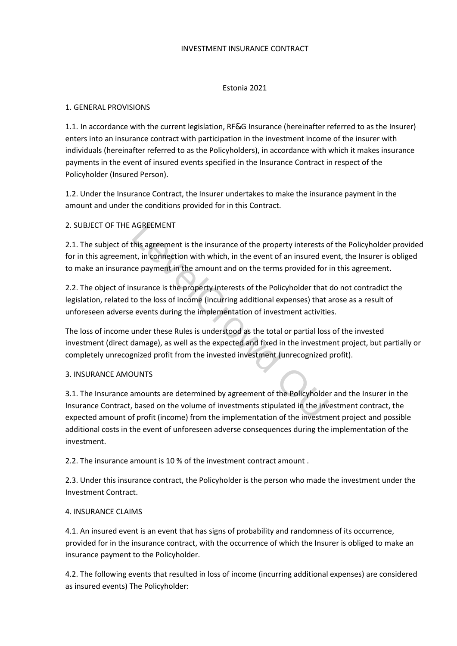### INVESTMENT INSURANCE CONTRACT

### Estonia 2021

### 1. GENERAL PROVISIONS

1.1. In accordance with the current legislation, RF&G Insurance (hereinafter referred to as the Insurer) enters into an insurance contract with participation in the investment income of the insurer with individuals (hereinafter referred to as the Policyholders), in accordance with which it makes insurance payments in the event of insured events specified in the Insurance Contract in respect of the Policyholder (Insured Person).

1.2. Under the Insurance Contract, the Insurer undertakes to make the insurance payment in the amount and under the conditions provided for in this Contract.

# 2. SUBJECT OF THE AGREEMENT

2.1. The subject of this agreement is the insurance of the property interests of the Policyholder provided for in this agreement, in connection with which, in the event of an insured event, the Insurer is obliged to make an insurance payment in the amount and on the terms provided for in this agreement.

2.2. The object of insurance is the property interests of the Policyholder that do not contradict the legislation, related to the loss of income (incurring additional expenses) that arose as a result of unforeseen adverse events during the implementation of investment activities.

The loss of income under these Rules is understood as the total or partial loss of the invested investment (direct damage), as well as the expected and fixed in the investment project, but partially or completely unrecognized profit from the invested investment (unrecognized profit). AGREEMENT<br>
AGREEMENT<br>
this agreement is the insurance of the property interests of<br>
th, in connection with which, in the event of an insured ev<br>
ce payment in the amount and on the terms provided for<br>
surance is the proper

### 3. INSURANCE AMOUNTS

3.1. The Insurance amounts are determined by agreement of the Policyholder and the Insurer in the Insurance Contract, based on the volume of investments stipulated in the investment contract, the expected amount of profit (income) from the implementation of the investment project and possible additional costs in the event of unforeseen adverse consequences during the implementation of the investment.

2.2. The insurance amount is 10 % of the investment contract amount .

2.3. Under this insurance contract, the Policyholder is the person who made the investment under the Investment Contract.

### 4. INSURANCE CLAIMS

4.1. An insured event is an event that has signs of probability and randomness of its occurrence, provided for in the insurance contract, with the occurrence of which the Insurer is obliged to make an insurance payment to the Policyholder.

4.2. The following events that resulted in loss of income (incurring additional expenses) are considered as insured events) The Policyholder: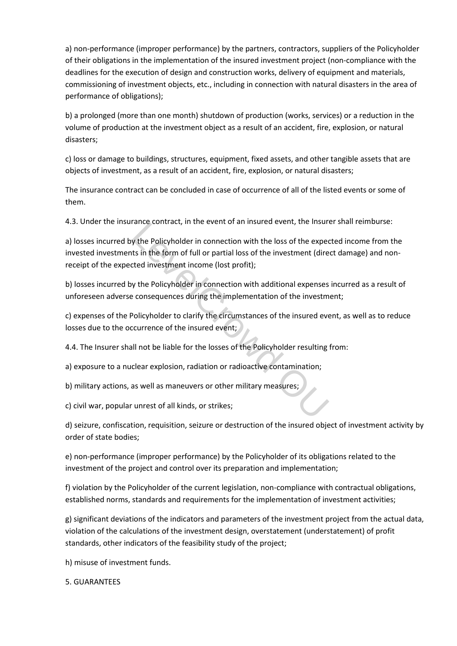a) non-performance (improper performance) by the partners, contractors, suppliers of the Policyholder of their obligations in the implementation of the insured investment project (non-compliance with the deadlines for the execution of design and construction works, delivery of equipment and materials, commissioning of investment objects, etc., including in connection with natural disasters in the area of performance of obligations);

b) a prolonged (more than one month) shutdown of production (works, services) or a reduction in the volume of production at the investment object as a result of an accident, fire, explosion, or natural disasters;

c) loss or damage to buildings, structures, equipment, fixed assets, and other tangible assets that are objects of investment, as a result of an accident, fire, explosion, or natural disasters;

The insurance contract can be concluded in case of occurrence of all of the listed events or some of them.

4.3. Under the insurance contract, in the event of an insured event, the Insurer shall reimburse:

a) losses incurred by the Policyholder in connection with the loss of the expected income from the invested investments in the form of full or partial loss of the investment (direct damage) and nonreceipt of the expected investment income (lost profit); rance contract, in the event of an insured event, the insured<br>y the Policyholder in connection with the loss of the expects in the form of full or partial loss of the investment (directed investment income (lost profit);<br>y

b) losses incurred by the Policyholder in connection with additional expenses incurred as a result of unforeseen adverse consequences during the implementation of the investment;

c) expenses of the Policyholder to clarify the circumstances of the insured event, as well as to reduce losses due to the occurrence of the insured event;

4.4. The Insurer shall not be liable for the losses of the Policyholder resulting from:

a) exposure to a nuclear explosion, radiation or radioactive contamination;

b) military actions, as well as maneuvers or other military measures;

c) civil war, popular unrest of all kinds, or strikes;

d) seizure, confiscation, requisition, seizure or destruction of the insured object of investment activity by order of state bodies;

e) non-performance (improper performance) by the Policyholder of its obligations related to the investment of the project and control over its preparation and implementation;

f) violation by the Policyholder of the current legislation, non-compliance with contractual obligations, established norms, standards and requirements for the implementation of investment activities;

g) significant deviations of the indicators and parameters of the investment project from the actual data, violation of the calculations of the investment design, overstatement (understatement) of profit standards, other indicators of the feasibility study of the project;

h) misuse of investment funds.

5. GUARANTEES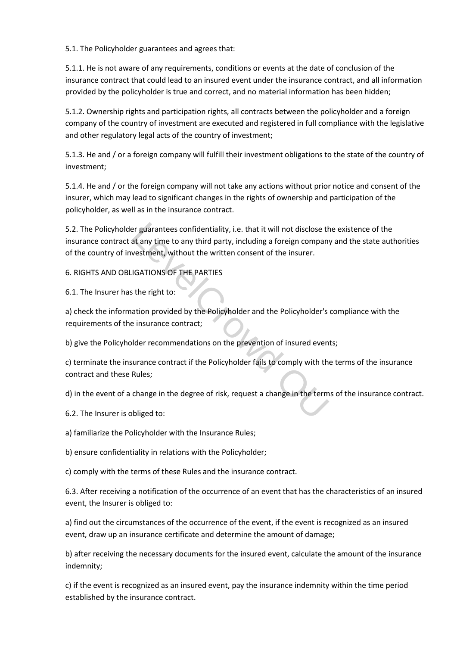5.1. The Policyholder guarantees and agrees that:

5.1.1. He is not aware of any requirements, conditions or events at the date of conclusion of the insurance contract that could lead to an insured event under the insurance contract, and all information provided by the policyholder is true and correct, and no material information has been hidden;

5.1.2. Ownership rights and participation rights, all contracts between the policyholder and a foreign company of the country of investment are executed and registered in full compliance with the legislative and other regulatory legal acts of the country of investment;

5.1.3. He and / or a foreign company will fulfill their investment obligations to the state of the country of investment;

5.1.4. He and / or the foreign company will not take any actions without prior notice and consent of the insurer, which may lead to significant changes in the rights of ownership and participation of the policyholder, as well as in the insurance contract.

5.2. The Policyholder guarantees confidentiality, i.e. that it will not disclose the existence of the insurance contract at any time to any third party, including a foreign company and the state authorities of the country of investment, without the written consent of the insurer. experiences confidentiality, i.e. that it will not disclose that any time to any third party, including a foreign company<br>vestment, without the written consent of the insurer.<br>IGATIONS OF THE PARTIES<br>step right to:<br>ation p

# 6. RIGHTS AND OBLIGATIONS OF THE PARTIES

6.1. The Insurer has the right to:

a) check the information provided by the Policyholder and the Policyholder's compliance with the requirements of the insurance contract;

b) give the Policyholder recommendations on the prevention of insured events;

c) terminate the insurance contract if the Policyholder fails to comply with the terms of the insurance contract and these Rules;

d) in the event of a change in the degree of risk, request a change in the terms of the insurance contract.

6.2. The Insurer is obliged to:

a) familiarize the Policyholder with the Insurance Rules;

b) ensure confidentiality in relations with the Policyholder;

c) comply with the terms of these Rules and the insurance contract.

6.3. After receiving a notification of the occurrence of an event that has the characteristics of an insured event, the Insurer is obliged to:

a) find out the circumstances of the occurrence of the event, if the event is recognized as an insured event, draw up an insurance certificate and determine the amount of damage;

b) after receiving the necessary documents for the insured event, calculate the amount of the insurance indemnity;

c) if the event is recognized as an insured event, pay the insurance indemnity within the time period established by the insurance contract.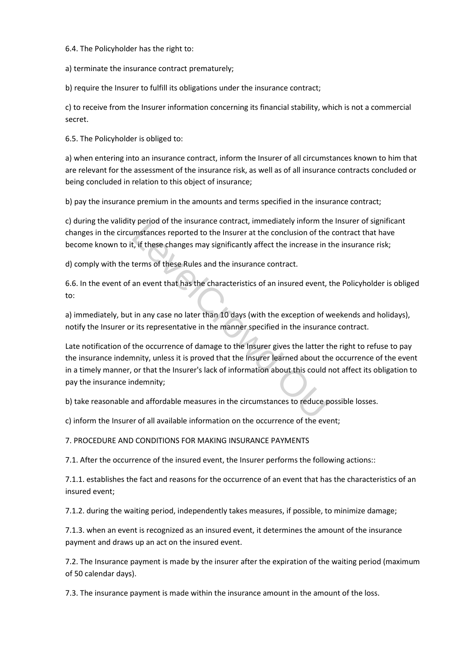6.4. The Policyholder has the right to:

a) terminate the insurance contract prematurely;

b) require the Insurer to fulfill its obligations under the insurance contract;

c) to receive from the Insurer information concerning its financial stability, which is not a commercial secret.

6.5. The Policyholder is obliged to:

a) when entering into an insurance contract, inform the Insurer of all circumstances known to him that are relevant for the assessment of the insurance risk, as well as of all insurance contracts concluded or being concluded in relation to this object of insurance;

b) pay the insurance premium in the amounts and terms specified in the insurance contract;

c) during the validity period of the insurance contract, immediately inform the Insurer of significant changes in the circumstances reported to the Insurer at the conclusion of the contract that have become known to it, if these changes may significantly affect the increase in the insurance risk;

d) comply with the terms of these Rules and the insurance contract.

6.6. In the event of an event that has the characteristics of an insured event, the Policyholder is obliged to:

a) immediately, but in any case no later than 10 days (with the exception of weekends and holidays), notify the Insurer or its representative in the manner specified in the insurance contract.

Late notification of the occurrence of damage to the Insurer gives the latter the right to refuse to pay the insurance indemnity, unless it is proved that the Insurer learned about the occurrence of the event in a timely manner, or that the Insurer's lack of information about this could not affect its obligation to pay the insurance indemnity; by period of the instrance contract, immediately inform the unstances reported to the Insurar at the conclusion of the the titles changes may significantly affect the increase in the terms of these Rules and the insurance

b) take reasonable and affordable measures in the circumstances to reduce possible losses.

c) inform the Insurer of all available information on the occurrence of the event;

7. PROCEDURE AND CONDITIONS FOR MAKING INSURANCE PAYMENTS

7.1. After the occurrence of the insured event, the Insurer performs the following actions::

7.1.1. establishes the fact and reasons for the occurrence of an event that has the characteristics of an insured event;

7.1.2. during the waiting period, independently takes measures, if possible, to minimize damage;

7.1.3. when an event is recognized as an insured event, it determines the amount of the insurance payment and draws up an act on the insured event.

7.2. The Insurance payment is made by the insurer after the expiration of the waiting period (maximum of 50 calendar days).

7.3. The insurance payment is made within the insurance amount in the amount of the loss.